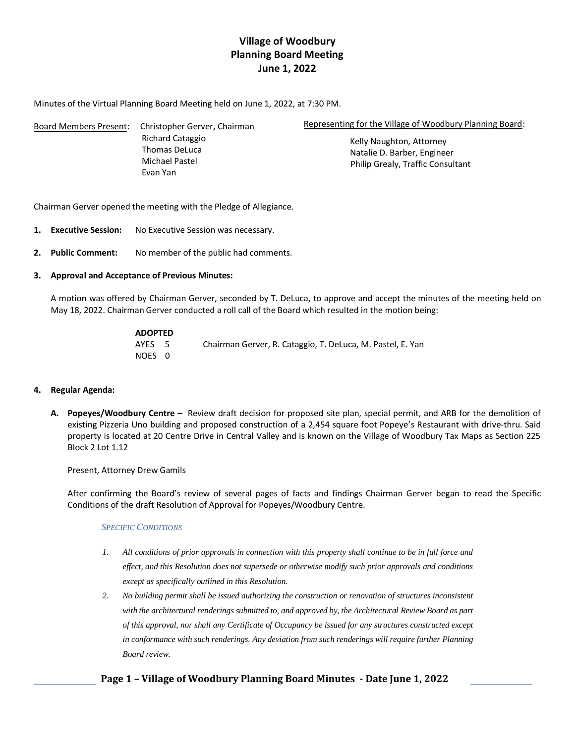# **Village of Woodbury Planning Board Meeting June 1, 2022**

Minutes of the Virtual Planning Board Meeting held on June 1, 2022, at 7:30 PM.

| Board Members Present: | Christopher Gerver, Chairman      | Representing for the Village of Woodbury Planning Board:<br>Kelly Naughton, Attorney |  |
|------------------------|-----------------------------------|--------------------------------------------------------------------------------------|--|
|                        | Richard Cataggio<br>Thomas DeLuca |                                                                                      |  |
|                        |                                   | Natalie D. Barber, Engineer                                                          |  |
|                        | Michael Pastel                    | <b>Philip Grealy, Traffic Consultant</b>                                             |  |
|                        | Evan Yan                          |                                                                                      |  |

Chairman Gerver opened the meeting with the Pledge of Allegiance.

- **1. Executive Session:** No Executive Session was necessary.
- **2. Public Comment:** No member of the public had comments.

## **3. Approval and Acceptance of Previous Minutes:**

A motion was offered by Chairman Gerver, seconded by T. DeLuca, to approve and accept the minutes of the meeting held on May 18, 2022. Chairman Gerver conducted a roll call of the Board which resulted in the motion being:

| <b>ADOPTED</b> |                                                            |
|----------------|------------------------------------------------------------|
| AYES 5         | Chairman Gerver, R. Cataggio, T. DeLuca, M. Pastel, E. Yan |
| NOES 0         |                                                            |

## **4. Regular Agenda:**

**A. Popeyes/Woodbury Centre –** Review draft decision for proposed site plan, special permit, and ARB for the demolition of existing Pizzeria Uno building and proposed construction of a 2,454 square foot Popeye's Restaurant with drive-thru. Said property is located at 20 Centre Drive in Central Valley and is known on the Village of Woodbury Tax Maps as Section 225 Block 2 Lot 1.12

Present, Attorney Drew Gamils

After confirming the Board's review of several pages of facts and findings Chairman Gerver began to read the Specific Conditions of the draft Resolution of Approval for Popeyes/Woodbury Centre.

## *SPECIFIC CONDITIONS*

- *1. All conditions of prior approvals in connection with this property shall continue to be in full force and effect, and this Resolution does not supersede or otherwise modify such prior approvals and conditions except as specifically outlined in this Resolution.*
- *2. No building permit shall be issued authorizing the construction or renovation of structures inconsistent*  with the architectural renderings submitted to, and approved by, the Architectural Review Board as part *of this approval, nor shall any Certificate of Occupancy be issued for any structures constructed except in conformance with such renderings. Any deviation from such renderings will require further Planning Board review.*

## **Page 1 – Village of Woodbury Planning Board Minutes - Date June 1, 2022**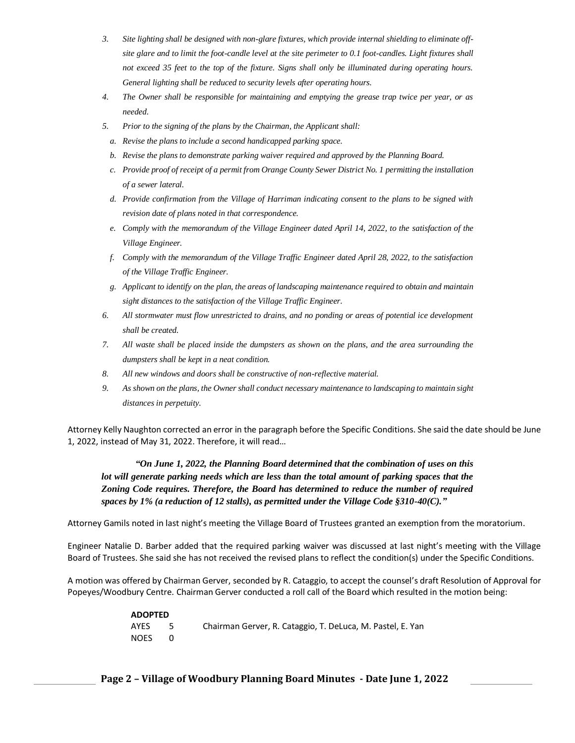- *3. Site lighting shall be designed with non-glare fixtures, which provide internal shielding to eliminate offsite glare and to limit the foot-candle level at the site perimeter to 0.1 foot-candles. Light fixtures shall not exceed 35 feet to the top of the fixture. Signs shall only be illuminated during operating hours. General lighting shall be reduced to security levels after operating hours.*
- *4. The Owner shall be responsible for maintaining and emptying the grease trap twice per year, or as needed.*
- *5. Prior to the signing of the plans by the Chairman, the Applicant shall:*
- *a. Revise the plans to include a second handicapped parking space.*
- *b. Revise the plans to demonstrate parking waiver required and approved by the Planning Board.*
- *c. Provide proof of receipt of a permit from Orange County Sewer District No. 1 permitting the installation of a sewer lateral.*
- *d. Provide confirmation from the Village of Harriman indicating consent to the plans to be signed with revision date of plans noted in that correspondence.*
- *e.* Comply with the memorandum of the Village Engineer dated April 14, 2022, to the satisfaction of the *Village Engineer.*
- *f. Comply with the memorandum of the Village Traffic Engineer dated April 28, 2022, to the satisfaction of the Village Traffic Engineer.*
- *g. Applicant to identify on the plan, the areas of landscaping maintenance required to obtain and maintain sight distances to the satisfaction of the Village Traffic Engineer.*
- *6. All stormwater must flow unrestricted to drains, and no ponding or areas of potential ice development shall be created.*
- *7. All waste shall be placed inside the dumpsters as shown on the plans, and the area surrounding the dumpsters shall be kept in a neat condition.*
- *8. All new windows and doors shall be constructive of non-reflective material.*
- *9. As shown on the plans, the Owner shall conduct necessary maintenance to landscaping to maintain sight distances in perpetuity.*

Attorney Kelly Naughton corrected an error in the paragraph before the Specific Conditions. She said the date should be June 1, 2022, instead of May 31, 2022. Therefore, it will read…

*"On June 1, 2022, the Planning Board determined that the combination of uses on this lot will generate parking needs which are less than the total amount of parking spaces that the Zoning Code requires. Therefore, the Board has determined to reduce the number of required spaces by 1% (a reduction of 12 stalls), as permitted under the Village Code §310-40(C)."* 

Attorney Gamils noted in last night's meeting the Village Board of Trustees granted an exemption from the moratorium.

Engineer Natalie D. Barber added that the required parking waiver was discussed at last night's meeting with the Village Board of Trustees. She said she has not received the revised plans to reflect the condition(s) under the Specific Conditions.

A motion was offered by Chairman Gerver, seconded by R. Cataggio, to accept the counsel's draft Resolution of Approval for Popeyes/Woodbury Centre. Chairman Gerver conducted a roll call of the Board which resulted in the motion being:

| <b>ADOPTED</b> |      |                                                            |
|----------------|------|------------------------------------------------------------|
| AYES           | $-5$ | Chairman Gerver, R. Cataggio, T. DeLuca, M. Pastel, E. Yan |
| NOES           |      |                                                            |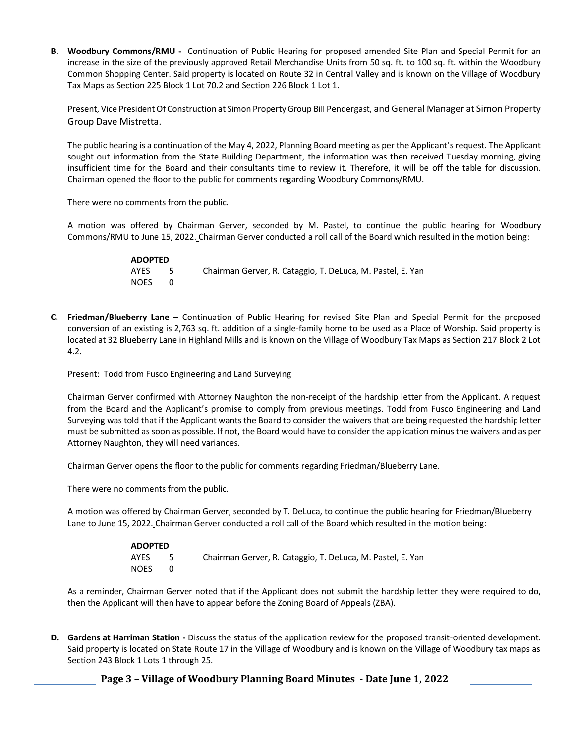**B. Woodbury Commons/RMU -** Continuation of Public Hearing for proposed amended Site Plan and Special Permit for an increase in the size of the previously approved Retail Merchandise Units from 50 sq. ft. to 100 sq. ft. within the Woodbury Common Shopping Center. Said property is located on Route 32 in Central Valley and is known on the Village of Woodbury Tax Maps as Section 225 Block 1 Lot 70.2 and Section 226 Block 1 Lot 1.

Present, Vice President Of Construction at Simon Property Group Bill Pendergast, and General Manager at Simon Property Group Dave Mistretta.

The public hearing is a continuation of the May 4, 2022, Planning Board meeting as per the Applicant's request. The Applicant sought out information from the State Building Department, the information was then received Tuesday morning, giving insufficient time for the Board and their consultants time to review it. Therefore, it will be off the table for discussion. Chairman opened the floor to the public for comments regarding Woodbury Commons/RMU.

There were no comments from the public.

A motion was offered by Chairman Gerver, seconded by M. Pastel, to continue the public hearing for Woodbury Commons/RMU to June 15, 2022. Chairman Gerver conducted a roll call of the Board which resulted in the motion being:

| <b>ADOPTED</b> |      |                                                            |
|----------------|------|------------------------------------------------------------|
| AYES           | $-5$ | Chairman Gerver, R. Cataggio, T. DeLuca, M. Pastel, E. Yan |
| NOES           |      |                                                            |

**C. Friedman/Blueberry Lane –** Continuation of Public Hearing for revised Site Plan and Special Permit for the proposed conversion of an existing is 2,763 sq. ft. addition of a single-family home to be used as a Place of Worship. Said property is located at 32 Blueberry Lane in Highland Mills and is known on the Village of Woodbury Tax Maps as Section 217 Block 2 Lot 4.2.

Present: Todd from Fusco Engineering and Land Surveying

Chairman Gerver confirmed with Attorney Naughton the non-receipt of the hardship letter from the Applicant. A request from the Board and the Applicant's promise to comply from previous meetings. Todd from Fusco Engineering and Land Surveying was told that if the Applicant wants the Board to consider the waivers that are being requested the hardship letter must be submitted as soon as possible. If not, the Board would have to consider the application minus the waivers and as per Attorney Naughton, they will need variances.

Chairman Gerver opens the floor to the public for comments regarding Friedman/Blueberry Lane.

There were no comments from the public.

A motion was offered by Chairman Gerver, seconded by T. DeLuca, to continue the public hearing for Friedman/Blueberry Lane to June 15, 2022. Chairman Gerver conducted a roll call of the Board which resulted in the motion being:

| <b>ADOPTED</b> |  |                                                            |
|----------------|--|------------------------------------------------------------|
| AYES           |  | Chairman Gerver, R. Cataggio, T. DeLuca, M. Pastel, E. Yan |
| NOES           |  |                                                            |

As a reminder, Chairman Gerver noted that if the Applicant does not submit the hardship letter they were required to do, then the Applicant will then have to appear before the Zoning Board of Appeals (ZBA).

**D. Gardens at Harriman Station -** Discuss the status of the application review for the proposed transit-oriented development. Said property is located on State Route 17 in the Village of Woodbury and is known on the Village of Woodbury tax maps as Section 243 Block 1 Lots 1 through 25.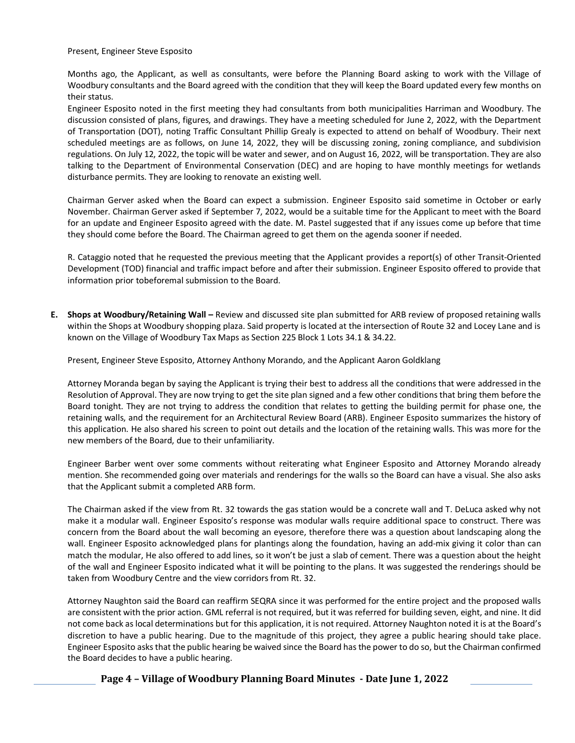Present, Engineer Steve Esposito

Months ago, the Applicant, as well as consultants, were before the Planning Board asking to work with the Village of Woodbury consultants and the Board agreed with the condition that they will keep the Board updated every few months on their status.

Engineer Esposito noted in the first meeting they had consultants from both municipalities Harriman and Woodbury. The discussion consisted of plans, figures, and drawings. They have a meeting scheduled for June 2, 2022, with the Department of Transportation (DOT), noting Traffic Consultant Phillip Grealy is expected to attend on behalf of Woodbury. Their next scheduled meetings are as follows, on June 14, 2022, they will be discussing zoning, zoning compliance, and subdivision regulations. On July 12, 2022, the topic will be water and sewer, and on August 16, 2022, will be transportation. They are also talking to the Department of Environmental Conservation (DEC) and are hoping to have monthly meetings for wetlands disturbance permits. They are looking to renovate an existing well.

Chairman Gerver asked when the Board can expect a submission. Engineer Esposito said sometime in October or early November. Chairman Gerver asked if September 7, 2022, would be a suitable time for the Applicant to meet with the Board for an update and Engineer Esposito agreed with the date. M. Pastel suggested that if any issues come up before that time they should come before the Board. The Chairman agreed to get them on the agenda sooner if needed.

R. Cataggio noted that he requested the previous meeting that the Applicant provides a report(s) of other Transit-Oriented Development (TOD) financial and traffic impact before and after their submission. Engineer Esposito offered to provide that information prior tobeforemal submission to the Board.

**E. Shops at Woodbury/Retaining Wall –** Review and discussed site plan submitted for ARB review of proposed retaining walls within the Shops at Woodbury shopping plaza. Said property is located at the intersection of Route 32 and Locey Lane and is known on the Village of Woodbury Tax Maps as Section 225 Block 1 Lots 34.1 & 34.22.

Present, Engineer Steve Esposito, Attorney Anthony Morando, and the Applicant Aaron Goldklang

Attorney Moranda began by saying the Applicant is trying their best to address all the conditions that were addressed in the Resolution of Approval. They are now trying to get the site plan signed and a few other conditions that bring them before the Board tonight. They are not trying to address the condition that relates to getting the building permit for phase one, the retaining walls, and the requirement for an Architectural Review Board (ARB). Engineer Esposito summarizes the history of this application. He also shared his screen to point out details and the location of the retaining walls. This was more for the new members of the Board, due to their unfamiliarity.

Engineer Barber went over some comments without reiterating what Engineer Esposito and Attorney Morando already mention. She recommended going over materials and renderings for the walls so the Board can have a visual. She also asks that the Applicant submit a completed ARB form.

The Chairman asked if the view from Rt. 32 towards the gas station would be a concrete wall and T. DeLuca asked why not make it a modular wall. Engineer Esposito's response was modular walls require additional space to construct. There was concern from the Board about the wall becoming an eyesore, therefore there was a question about landscaping along the wall. Engineer Esposito acknowledged plans for plantings along the foundation, having an add-mix giving it color than can match the modular, He also offered to add lines, so it won't be just a slab of cement. There was a question about the height of the wall and Engineer Esposito indicated what it will be pointing to the plans. It was suggested the renderings should be taken from Woodbury Centre and the view corridors from Rt. 32.

Attorney Naughton said the Board can reaffirm SEQRA since it was performed for the entire project and the proposed walls are consistent with the prior action. GML referral is not required, but it was referred for building seven, eight, and nine. It did not come back as local determinations but for this application, it is not required. Attorney Naughton noted it is at the Board's discretion to have a public hearing. Due to the magnitude of this project, they agree a public hearing should take place. Engineer Esposito asksthat the public hearing be waived since the Board has the power to do so, but the Chairman confirmed the Board decides to have a public hearing.

**Page 4 – Village of Woodbury Planning Board Minutes - Date June 1, 2022**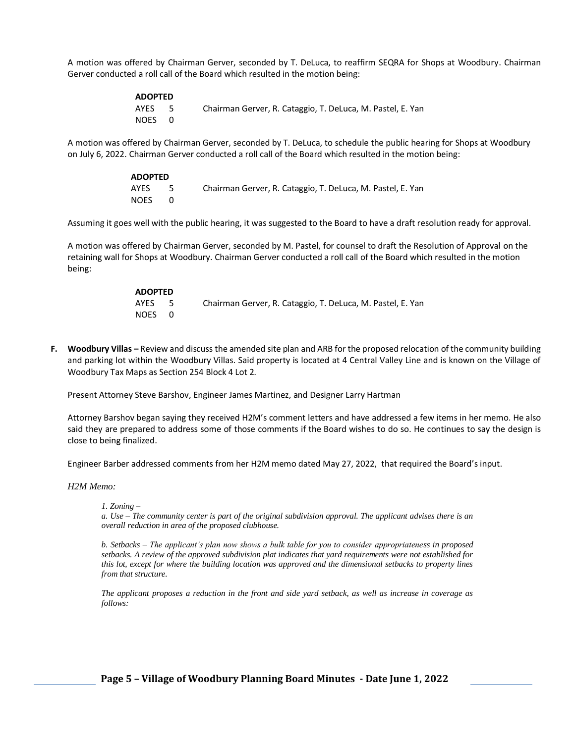A motion was offered by Chairman Gerver, seconded by T. DeLuca, to reaffirm SEQRA for Shops at Woodbury. Chairman Gerver conducted a roll call of the Board which resulted in the motion being:

| <b>ADOPTED</b> |      |                                                            |
|----------------|------|------------------------------------------------------------|
| AYES           | $-5$ | Chairman Gerver, R. Cataggio, T. DeLuca, M. Pastel, E. Yan |
| NOES 0         |      |                                                            |

A motion was offered by Chairman Gerver, seconded by T. DeLuca, to schedule the public hearing for Shops at Woodbury on July 6, 2022. Chairman Gerver conducted a roll call of the Board which resulted in the motion being:

| <b>ADOPTED</b> |      |                                                            |
|----------------|------|------------------------------------------------------------|
| AYES           | $-5$ | Chairman Gerver, R. Cataggio, T. DeLuca, M. Pastel, E. Yan |
| NOES           |      |                                                            |

Assuming it goes well with the public hearing, it was suggested to the Board to have a draft resolution ready for approval.

A motion was offered by Chairman Gerver, seconded by M. Pastel, for counsel to draft the Resolution of Approval on the retaining wall for Shops at Woodbury. Chairman Gerver conducted a roll call of the Board which resulted in the motion being:

| <b>ADOPTED</b> |     |                                                            |
|----------------|-----|------------------------------------------------------------|
| AYES           | - 5 | Chairman Gerver, R. Cataggio, T. DeLuca, M. Pastel, E. Yan |
| NOES 0         |     |                                                            |

**F. Woodbury Villas –** Review and discuss the amended site plan and ARB for the proposed relocation of the community building and parking lot within the Woodbury Villas. Said property is located at 4 Central Valley Line and is known on the Village of Woodbury Tax Maps as Section 254 Block 4 Lot 2.

Present Attorney Steve Barshov, Engineer James Martinez, and Designer Larry Hartman

Attorney Barshov began saying they received H2M's comment letters and have addressed a few items in her memo. He also said they are prepared to address some of those comments if the Board wishes to do so. He continues to say the design is close to being finalized.

Engineer Barber addressed comments from her H2M memo dated May 27, 2022, that required the Board's input.

*H2M Memo:* 

*1. Zoning –*

*a. Use – The community center is part of the original subdivision approval. The applicant advises there is an overall reduction in area of the proposed clubhouse.* 

*b. Setbacks – The applicant's plan now shows a bulk table for you to consider appropriateness in proposed setbacks. A review of the approved subdivision plat indicates that yard requirements were not established for this lot, except for where the building location was approved and the dimensional setbacks to property lines from that structure.* 

*The applicant proposes a reduction in the front and side yard setback, as well as increase in coverage as follows:*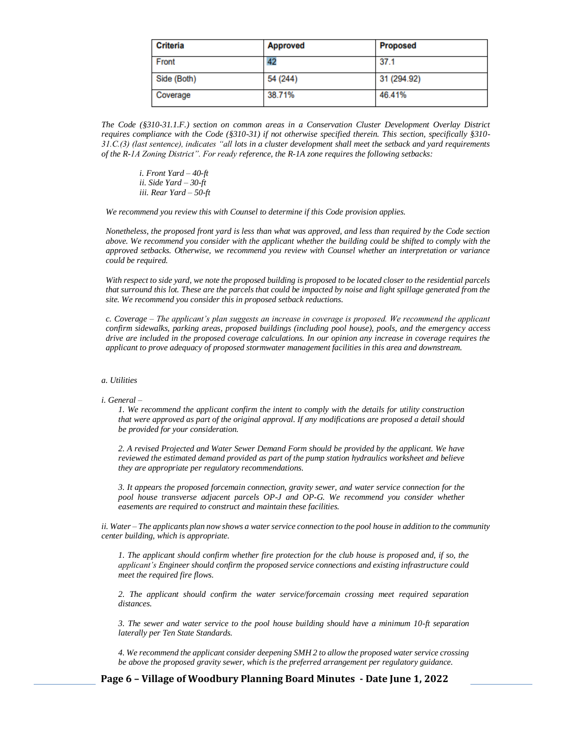| <b>Criteria</b> | <b>Approved</b> | <b>Proposed</b> |
|-----------------|-----------------|-----------------|
| Front           | 42              | 37.1            |
| Side (Both)     | 54 (244)        | 31 (294.92)     |
| Coverage        | 38.71%          | 46.41%          |

*The Code (§310-31.1.F.) section on common areas in a Conservation Cluster Development Overlay District requires compliance with the Code (§310-31) if not otherwise specified therein. This section, specifically §310- 31.C.(3) (last sentence), indicates "all lots in a cluster development shall meet the setback and yard requirements of the R-1A Zoning District". For ready reference, the R-1A zone requires the following setbacks:* 

*i. Front Yard – 40-ft ii. Side Yard – 30-ft iii. Rear Yard – 50-ft* 

*We recommend you review this with Counsel to determine if this Code provision applies.* 

*Nonetheless, the proposed front yard is less than what was approved, and less than required by the Code section above. We recommend you consider with the applicant whether the building could be shifted to comply with the approved setbacks. Otherwise, we recommend you review with Counsel whether an interpretation or variance could be required.* 

*With respect to side yard, we note the proposed building is proposed to be located closer to the residential parcels that surround this lot. These are the parcels that could be impacted by noise and light spillage generated from the site. We recommend you consider this in proposed setback reductions.* 

*c. Coverage – The applicant's plan suggests an increase in coverage is proposed. We recommend the applicant confirm sidewalks, parking areas, proposed buildings (including pool house), pools, and the emergency access drive are included in the proposed coverage calculations. In our opinion any increase in coverage requires the applicant to prove adequacy of proposed stormwater management facilities in this area and downstream.*

#### *a. Utilities*

*i. General –*

*1. We recommend the applicant confirm the intent to comply with the details for utility construction that were approved as part of the original approval. If any modifications are proposed a detail should be provided for your consideration.* 

*2. A revised Projected and Water Sewer Demand Form should be provided by the applicant. We have reviewed the estimated demand provided as part of the pump station hydraulics worksheet and believe they are appropriate per regulatory recommendations.* 

*3. It appears the proposed forcemain connection, gravity sewer, and water service connection for the pool house transverse adjacent parcels OP-J and OP-G. We recommend you consider whether easements are required to construct and maintain these facilities.* 

*ii. Water – The applicants plan now shows a water service connection to the pool house in addition to the community center building, which is appropriate.* 

*1. The applicant should confirm whether fire protection for the club house is proposed and, if so, the applicant's Engineer should confirm the proposed service connections and existing infrastructure could meet the required fire flows.* 

*2. The applicant should confirm the water service/forcemain crossing meet required separation distances.* 

*3. The sewer and water service to the pool house building should have a minimum 10-ft separation laterally per Ten State Standards.* 

*4. We recommend the applicant consider deepening SMH 2 to allow the proposed water service crossing be above the proposed gravity sewer, which is the preferred arrangement per regulatory guidance.* 

**Page 6 – Village of Woodbury Planning Board Minutes - Date June 1, 2022**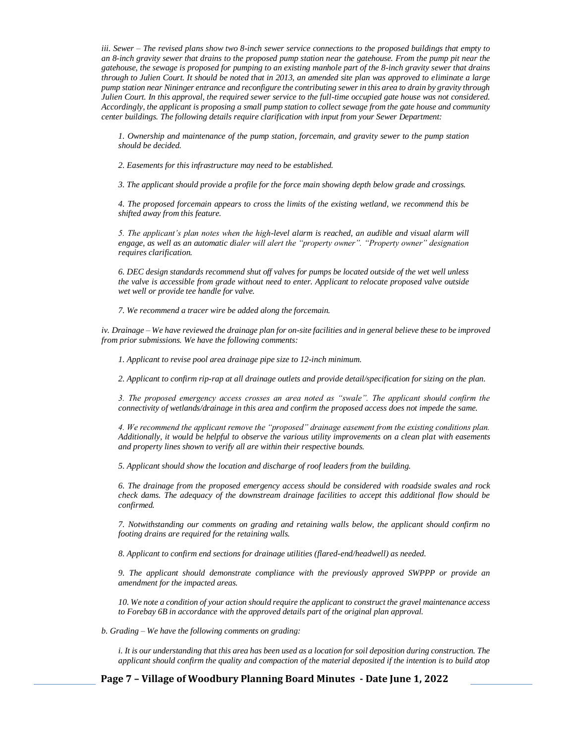*iii. Sewer – The revised plans show two 8-inch sewer service connections to the proposed buildings that empty to an 8-inch gravity sewer that drains to the proposed pump station near the gatehouse. From the pump pit near the gatehouse, the sewage is proposed for pumping to an existing manhole part of the 8-inch gravity sewer that drains through to Julien Court. It should be noted that in 2013, an amended site plan was approved to eliminate a large pump station near Nininger entrance and reconfigure the contributing sewer in this area to drain by gravity through Julien Court. In this approval, the required sewer service to the full-time occupied gate house was not considered. Accordingly, the applicant is proposing a small pump station to collect sewage from the gate house and community center buildings. The following details require clarification with input from your Sewer Department:*

*1. Ownership and maintenance of the pump station, forcemain, and gravity sewer to the pump station should be decided.* 

*2. Easements for this infrastructure may need to be established.* 

*3. The applicant should provide a profile for the force main showing depth below grade and crossings.* 

*4. The proposed forcemain appears to cross the limits of the existing wetland, we recommend this be shifted away from this feature.* 

*5. The applicant's plan notes when the high-level alarm is reached, an audible and visual alarm will engage, as well as an automatic dialer will alert the "property owner". "Property owner" designation requires clarification.* 

*6. DEC design standards recommend shut off valves for pumps be located outside of the wet well unless the valve is accessible from grade without need to enter. Applicant to relocate proposed valve outside wet well or provide tee handle for valve.* 

*7. We recommend a tracer wire be added along the forcemain.*

*iv. Drainage – We have reviewed the drainage plan for on-site facilities and in general believe these to be improved from prior submissions. We have the following comments:* 

*1. Applicant to revise pool area drainage pipe size to 12-inch minimum.* 

*2. Applicant to confirm rip-rap at all drainage outlets and provide detail/specification for sizing on the plan.* 

*3. The proposed emergency access crosses an area noted as "swale". The applicant should confirm the connectivity of wetlands/drainage in this area and confirm the proposed access does not impede the same.* 

*4. We recommend the applicant remove the "proposed" drainage easement from the existing conditions plan. Additionally, it would be helpful to observe the various utility improvements on a clean plat with easements and property lines shown to verify all are within their respective bounds.* 

*5. Applicant should show the location and discharge of roof leaders from the building.* 

*6. The drainage from the proposed emergency access should be considered with roadside swales and rock check dams. The adequacy of the downstream drainage facilities to accept this additional flow should be confirmed.* 

*7. Notwithstanding our comments on grading and retaining walls below, the applicant should confirm no footing drains are required for the retaining walls.* 

*8. Applicant to confirm end sections for drainage utilities (flared-end/headwell) as needed.* 

*9. The applicant should demonstrate compliance with the previously approved SWPPP or provide an amendment for the impacted areas.* 

*10. We note a condition of your action should require the applicant to construct the gravel maintenance access to Forebay 6B in accordance with the approved details part of the original plan approval.*

*b. Grading – We have the following comments on grading:* 

*i. It is our understanding that this area has been used as a location for soil deposition during construction. The applicant should confirm the quality and compaction of the material deposited if the intention is to build atop* 

**Page 7 – Village of Woodbury Planning Board Minutes - Date June 1, 2022**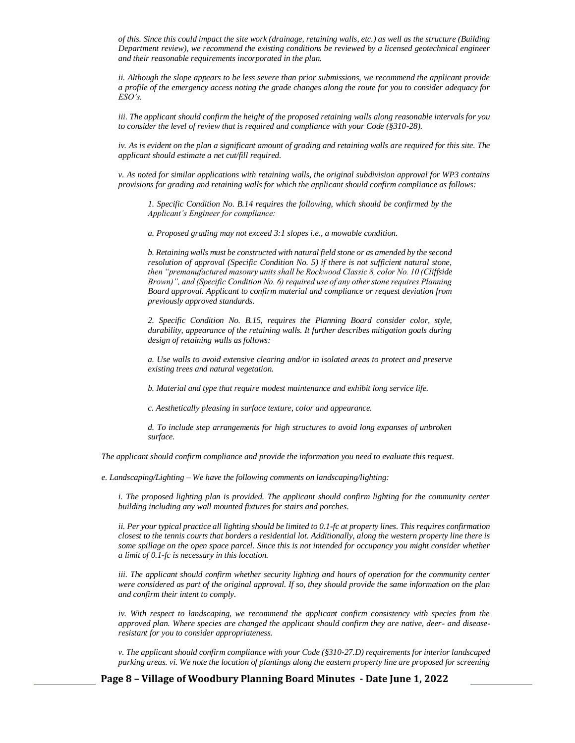*of this. Since this could impact the site work (drainage, retaining walls, etc.) as well as the structure (Building Department review), we recommend the existing conditions be reviewed by a licensed geotechnical engineer and their reasonable requirements incorporated in the plan.*

*ii. Although the slope appears to be less severe than prior submissions, we recommend the applicant provide a profile of the emergency access noting the grade changes along the route for you to consider adequacy for ESO's.* 

*iii. The applicant should confirm the height of the proposed retaining walls along reasonable intervals for you to consider the level of review that is required and compliance with your Code (§310-28).* 

*iv. As is evident on the plan a significant amount of grading and retaining walls are required for this site. The applicant should estimate a net cut/fill required.* 

*v. As noted for similar applications with retaining walls, the original subdivision approval for WP3 contains provisions for grading and retaining walls for which the applicant should confirm compliance as follows:* 

*1. Specific Condition No. B.14 requires the following, which should be confirmed by the Applicant's Engineer for compliance:* 

*a. Proposed grading may not exceed 3:1 slopes i.e., a mowable condition.* 

*b. Retaining walls must be constructed with natural field stone or as amended by the second resolution of approval (Specific Condition No. 5) if there is not sufficient natural stone, then "premanufactured masonry units shall be Rockwood Classic 8, color No. 10 (Cliffside Brown)", and (Specific Condition No. 6) required use of any other stone requires Planning Board approval. Applicant to confirm material and compliance or request deviation from previously approved standards.* 

*2. Specific Condition No. B.15, requires the Planning Board consider color, style, durability, appearance of the retaining walls. It further describes mitigation goals during design of retaining walls as follows:* 

*a. Use walls to avoid extensive clearing and/or in isolated areas to protect and preserve existing trees and natural vegetation.* 

*b. Material and type that require modest maintenance and exhibit long service life.* 

*c. Aesthetically pleasing in surface texture, color and appearance.* 

*d. To include step arrangements for high structures to avoid long expanses of unbroken surface.* 

*The applicant should confirm compliance and provide the information you need to evaluate this request.*

*e. Landscaping/Lighting – We have the following comments on landscaping/lighting:* 

*i. The proposed lighting plan is provided. The applicant should confirm lighting for the community center building including any wall mounted fixtures for stairs and porches.* 

*ii. Per your typical practice all lighting should be limited to 0.1-fc at property lines. This requires confirmation closest to the tennis courts that borders a residential lot. Additionally, along the western property line there is some spillage on the open space parcel. Since this is not intended for occupancy you might consider whether a limit of 0.1-fc is necessary in this location.* 

*iii. The applicant should confirm whether security lighting and hours of operation for the community center were considered as part of the original approval. If so, they should provide the same information on the plan and confirm their intent to comply.*

*iv.* With respect to landscaping, we recommend the applicant confirm consistency with species from the *approved plan. Where species are changed the applicant should confirm they are native, deer- and diseaseresistant for you to consider appropriateness.* 

*v. The applicant should confirm compliance with your Code (§310-27.D) requirements for interior landscaped parking areas. vi. We note the location of plantings along the eastern property line are proposed for screening* 

**Page 8 – Village of Woodbury Planning Board Minutes - Date June 1, 2022**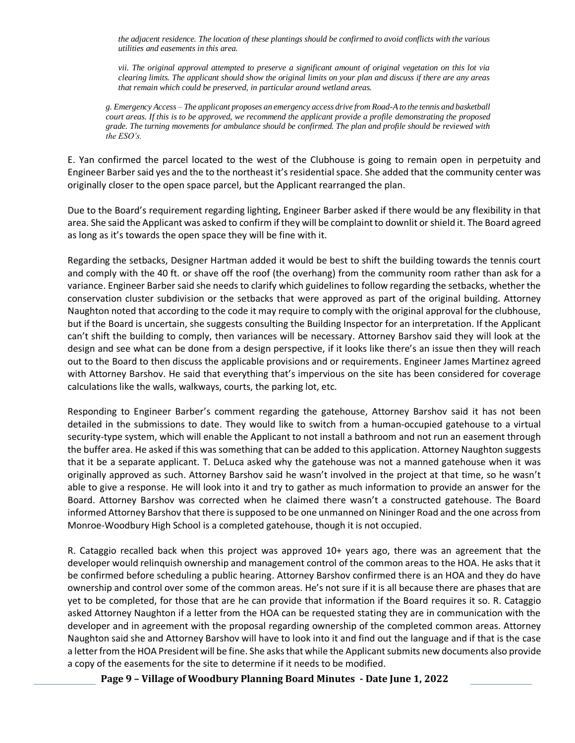*the adjacent residence. The location of these plantings should be confirmed to avoid conflicts with the various utilities and easements in this area.* 

*vii. The original approval attempted to preserve a significant amount of original vegetation on this lot via clearing limits. The applicant should show the original limits on your plan and discuss if there are any areas that remain which could be preserved, in particular around wetland areas.*

*g. Emergency Access – The applicant proposes an emergency access drive from Road-A to the tennis and basketball court areas. If this is to be approved, we recommend the applicant provide a profile demonstrating the proposed grade. The turning movements for ambulance should be confirmed. The plan and profile should be reviewed with the ESO's.*

E. Yan confirmed the parcel located to the west of the Clubhouse is going to remain open in perpetuity and Engineer Barber said yes and the to the northeast it's residential space. She added that the community center was originally closer to the open space parcel, but the Applicant rearranged the plan.

Due to the Board's requirement regarding lighting, Engineer Barber asked if there would be any flexibility in that area. She said the Applicant was asked to confirm if they will be complaint to downlit or shield it. The Board agreed as long as it's towards the open space they will be fine with it.

Regarding the setbacks, Designer Hartman added it would be best to shift the building towards the tennis court and comply with the 40 ft. or shave off the roof (the overhang) from the community room rather than ask for a variance. Engineer Barber said she needs to clarify which guidelines to follow regarding the setbacks, whether the conservation cluster subdivision or the setbacks that were approved as part of the original building. Attorney Naughton noted that according to the code it may require to comply with the original approval for the clubhouse, but if the Board is uncertain, she suggests consulting the Building Inspector for an interpretation. If the Applicant can't shift the building to comply, then variances will be necessary. Attorney Barshov said they will look at the design and see what can be done from a design perspective, if it looks like there's an issue then they will reach out to the Board to then discuss the applicable provisions and or requirements. Engineer James Martinez agreed with Attorney Barshov. He said that everything that's impervious on the site has been considered for coverage calculations like the walls, walkways, courts, the parking lot, etc.

Responding to Engineer Barber's comment regarding the gatehouse, Attorney Barshov said it has not been detailed in the submissions to date. They would like to switch from a human-occupied gatehouse to a virtual security-type system, which will enable the Applicant to not install a bathroom and not run an easement through the buffer area. He asked if this was something that can be added to this application. Attorney Naughton suggests that it be a separate applicant. T. DeLuca asked why the gatehouse was not a manned gatehouse when it was originally approved as such. Attorney Barshov said he wasn't involved in the project at that time, so he wasn't able to give a response. He will look into it and try to gather as much information to provide an answer for the Board. Attorney Barshov was corrected when he claimed there wasn't a constructed gatehouse. The Board informed Attorney Barshov that there is supposed to be one unmanned on Nininger Road and the one across from Monroe-Woodbury High School is a completed gatehouse, though it is not occupied.

R. Cataggio recalled back when this project was approved 10+ years ago, there was an agreement that the developer would relinquish ownership and management control of the common areas to the HOA. He asks that it be confirmed before scheduling a public hearing. Attorney Barshov confirmed there is an HOA and they do have ownership and control over some of the common areas. He's not sure if it is all because there are phases that are yet to be completed, for those that are he can provide that information if the Board requires it so. R. Cataggio asked Attorney Naughton if a letter from the HOA can be requested stating they are in communication with the developer and in agreement with the proposal regarding ownership of the completed common areas. Attorney Naughton said she and Attorney Barshov will have to look into it and find out the language and if that is the case a letter from the HOA President will be fine. She asks that while the Applicant submits new documents also provide a copy of the easements for the site to determine if it needs to be modified.

**Page 9 – Village of Woodbury Planning Board Minutes - Date June 1, 2022**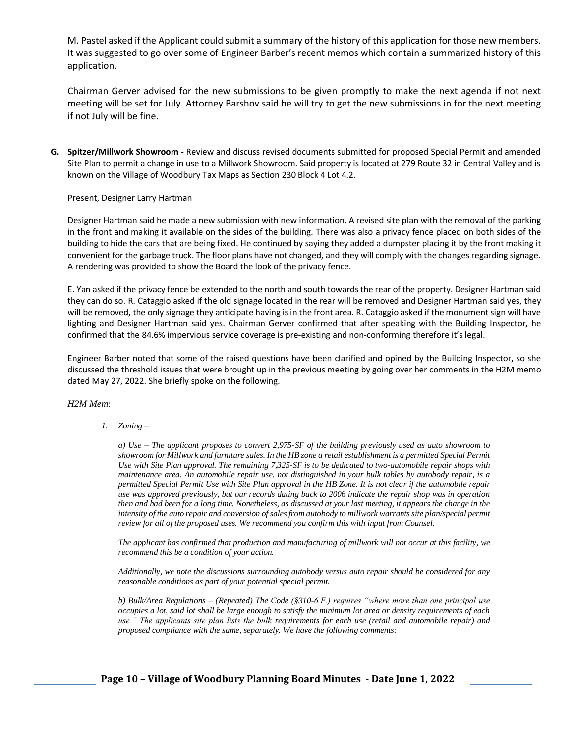M. Pastel asked if the Applicant could submit a summary of the history of this application for those new members. It was suggested to go over some of Engineer Barber's recent memos which contain a summarized history of this application.

Chairman Gerver advised for the new submissions to be given promptly to make the next agenda if not next meeting will be set for July. Attorney Barshov said he will try to get the new submissions in for the next meeting if not July will be fine.

**G. Spitzer/Millwork Showroom -** Review and discuss revised documents submitted for proposed Special Permit and amended Site Plan to permit a change in use to a Millwork Showroom. Said property is located at 279 Route 32 in Central Valley and is known on the Village of Woodbury Tax Maps as Section 230 Block 4 Lot 4.2.

### Present, Designer Larry Hartman

Designer Hartman said he made a new submission with new information. A revised site plan with the removal of the parking in the front and making it available on the sides of the building. There was also a privacy fence placed on both sides of the building to hide the cars that are being fixed. He continued by saying they added a dumpster placing it by the front making it convenient for the garbage truck. The floor plans have not changed, and they will comply with the changes regarding signage. A rendering was provided to show the Board the look of the privacy fence.

E. Yan asked if the privacy fence be extended to the north and south towards the rear of the property. Designer Hartman said they can do so. R. Cataggio asked if the old signage located in the rear will be removed and Designer Hartman said yes, they will be removed, the only signage they anticipate having isin the front area. R. Cataggio asked if the monument sign will have lighting and Designer Hartman said yes. Chairman Gerver confirmed that after speaking with the Building Inspector, he confirmed that the 84.6% impervious service coverage is pre-existing and non-conforming therefore it's legal.

Engineer Barber noted that some of the raised questions have been clarified and opined by the Building Inspector, so she discussed the threshold issues that were brought up in the previous meeting by going over her comments in the H2M memo dated May 27, 2022. She briefly spoke on the following.

*H2M Mem*:

*1. Zoning –*

*a) Use – The applicant proposes to convert 2,975-SF of the building previously used as auto showroom to*  showroom for Millwork and furniture sales. In the HB zone a retail establishment is a permitted Special Permit *Use with Site Plan approval. The remaining 7,325-SF is to be dedicated to two-automobile repair shops with maintenance area. An automobile repair use, not distinguished in your bulk tables by autobody repair, is a permitted Special Permit Use with Site Plan approval in the HB Zone. It is not clear if the automobile repair use was approved previously, but our records dating back to 2006 indicate the repair shop was in operation then and had been for a long time. Nonetheless, as discussed at your last meeting, it appears the change in the*  intensity of the auto repair and conversion of sales from autobody to millwork warrants site plan/special permit *review for all of the proposed uses. We recommend you confirm this with input from Counsel.* 

*The applicant has confirmed that production and manufacturing of millwork will not occur at this facility, we recommend this be a condition of your action.* 

*Additionally, we note the discussions surrounding autobody versus auto repair should be considered for any reasonable conditions as part of your potential special permit.*

*b) Bulk/Area Regulations – (Repeated) The Code (§310-6.F.) requires "where more than one principal use occupies a lot, said lot shall be large enough to satisfy the minimum lot area or density requirements of each use." The applicants site plan lists the bulk requirements for each use (retail and automobile repair) and proposed compliance with the same, separately. We have the following comments:*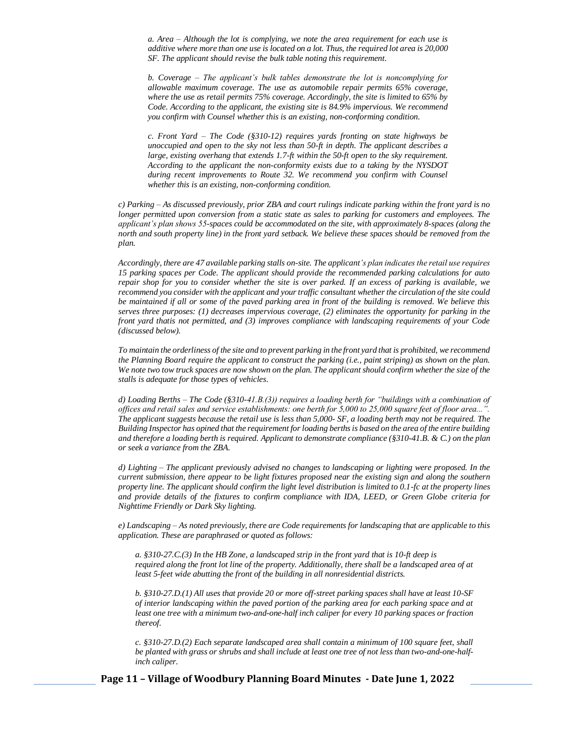*a. Area – Although the lot is complying, we note the area requirement for each use is additive where more than one use is located on a lot. Thus, the required lot area is 20,000 SF. The applicant should revise the bulk table noting this requirement.* 

*b. Coverage – The applicant's bulk tables demonstrate the lot is noncomplying for allowable maximum coverage. The use as automobile repair permits 65% coverage, where the use as retail permits 75% coverage. Accordingly, the site is limited to 65% by Code. According to the applicant, the existing site is 84.9% impervious. We recommend you confirm with Counsel whether this is an existing, non-conforming condition.* 

*c. Front Yard – The Code (§310-12) requires yards fronting on state highways be unoccupied and open to the sky not less than 50-ft in depth. The applicant describes a large, existing overhang that extends 1.7-ft within the 50-ft open to the sky requirement. According to the applicant the non-conformity exists due to a taking by the NYSDOT during recent improvements to Route 32. We recommend you confirm with Counsel whether this is an existing, non-conforming condition.* 

*c) Parking – As discussed previously, prior ZBA and court rulings indicate parking within the front yard is no longer permitted upon conversion from a static state as sales to parking for customers and employees. The applicant's plan shows 55-spaces could be accommodated on the site, with approximately 8-spaces (along the north and south property line) in the front yard setback. We believe these spaces should be removed from the plan.* 

*Accordingly, there are 47 available parking stalls on-site. The applicant's plan indicates the retail use requires 15 parking spaces per Code. The applicant should provide the recommended parking calculations for auto repair shop for you to consider whether the site is over parked. If an excess of parking is available, we recommend you consider with the applicant and your traffic consultant whether the circulation of the site could be maintained if all or some of the paved parking area in front of the building is removed. We believe this serves three purposes: (1) decreases impervious coverage, (2) eliminates the opportunity for parking in the front yard thatis not permitted, and (3) improves compliance with landscaping requirements of your Code (discussed below).* 

*To maintain the orderliness of the site and to prevent parking in the front yard that is prohibited, we recommend the Planning Board require the applicant to construct the parking (i.e., paint striping) as shown on the plan.*  We note two tow truck spaces are now shown on the plan. The applicant should confirm whether the size of the *stalls is adequate for those types of vehicles.*

*d) Loading Berths – The Code (§310-41.B.(3)) requires a loading berth for "buildings with a combination of offices and retail sales and service establishments: one berth for 5,000 to 25,000 square feet of floor area...". The applicant suggests because the retail use is less than 5,000- SF, a loading berth may not be required. The Building Inspector has opined that the requirement for loading berths is based on the area of the entire building and therefore a loading berth is required. Applicant to demonstrate compliance (§310-41.B. & C.) on the plan or seek a variance from the ZBA.*

*d) Lighting – The applicant previously advised no changes to landscaping or lighting were proposed. In the current submission, there appear to be light fixtures proposed near the existing sign and along the southern property line. The applicant should confirm the light level distribution is limited to 0.1-fc at the property lines and provide details of the fixtures to confirm compliance with IDA, LEED, or Green Globe criteria for Nighttime Friendly or Dark Sky lighting.* 

*e) Landscaping – As noted previously, there are Code requirements for landscaping that are applicable to this application. These are paraphrased or quoted as follows:*

*a. §310-27.C.(3) In the HB Zone, a landscaped strip in the front yard that is 10-ft deep is required along the front lot line of the property. Additionally, there shall be a landscaped area of at least 5-feet wide abutting the front of the building in all nonresidential districts.* 

*b. §310-27.D.(1) All uses that provide 20 or more off-street parking spaces shall have at least 10-SF of interior landscaping within the paved portion of the parking area for each parking space and at least one tree with a minimum two-and-one-half inch caliper for every 10 parking spaces or fraction thereof.* 

*c. §310-27.D.(2) Each separate landscaped area shall contain a minimum of 100 square feet, shall be planted with grass or shrubs and shall include at least one tree of not less than two-and-one-halfinch caliper.*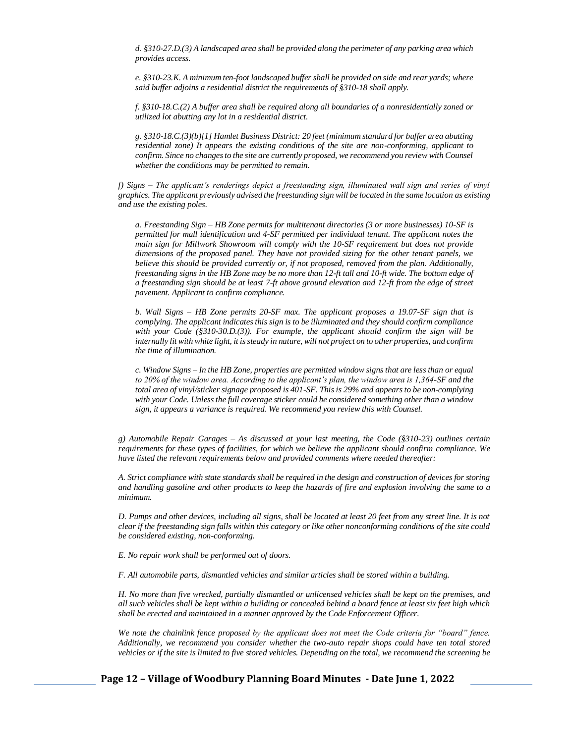*d. §310-27.D.(3) A landscaped area shall be provided along the perimeter of any parking area which provides access.* 

*e. §310-23.K. A minimum ten-foot landscaped buffer shall be provided on side and rear yards; where said buffer adjoins a residential district the requirements of §310-18 shall apply.* 

*f. §310-18.C.(2) A buffer area shall be required along all boundaries of a nonresidentially zoned or utilized lot abutting any lot in a residential district.* 

*g. §310-18.C.(3)(b)[1] Hamlet Business District: 20 feet (minimum standard for buffer area abutting residential zone) It appears the existing conditions of the site are non-conforming, applicant to confirm. Since no changes to the site are currently proposed, we recommend you review with Counsel whether the conditions may be permitted to remain.* 

*f) Signs – The applicant's renderings depict a freestanding sign, illuminated wall sign and series of vinyl graphics. The applicant previously advised the freestanding sign will be located in the same location as existing and use the existing poles.* 

*a. Freestanding Sign – HB Zone permits for multitenant directories (3 or more businesses) 10-SF is permitted for mall identification and 4-SF permitted per individual tenant. The applicant notes the main sign for Millwork Showroom will comply with the 10-SF requirement but does not provide dimensions of the proposed panel. They have not provided sizing for the other tenant panels, we believe this should be provided currently or, if not proposed, removed from the plan. Additionally, freestanding signs in the HB Zone may be no more than 12-ft tall and 10-ft wide. The bottom edge of a freestanding sign should be at least 7-ft above ground elevation and 12-ft from the edge of street pavement. Applicant to confirm compliance.* 

*b. Wall Signs – HB Zone permits 20-SF max. The applicant proposes a 19.07-SF sign that is complying. The applicant indicates this sign is to be illuminated and they should confirm compliance with your Code (§310-30.D.(3)). For example, the applicant should confirm the sign will be internally lit with white light, it is steady in nature, will not project on to other properties, and confirm the time of illumination.* 

*c. Window Signs – In the HB Zone, properties are permitted window signs that are less than or equal to 20% of the window area. According to the applicant's plan, the window area is 1,364-SF and the total area of vinyl/sticker signage proposed is 401-SF. This is 29% and appears to be non-complying with your Code. Unless the full coverage sticker could be considered something other than a window sign, it appears a variance is required. We recommend you review this with Counsel.*

*g) Automobile Repair Garages – As discussed at your last meeting, the Code (§310-23) outlines certain requirements for these types of facilities, for which we believe the applicant should confirm compliance. We have listed the relevant requirements below and provided comments where needed thereafter:* 

*A. Strict compliance with state standards shall be required in the design and construction of devices for storing and handling gasoline and other products to keep the hazards of fire and explosion involving the same to a minimum.* 

*D. Pumps and other devices, including all signs, shall be located at least 20 feet from any street line. It is not clear if the freestanding sign falls within this category or like other nonconforming conditions of the site could be considered existing, non-conforming.* 

*E. No repair work shall be performed out of doors.*

*F. All automobile parts, dismantled vehicles and similar articles shall be stored within a building.* 

*H. No more than five wrecked, partially dismantled or unlicensed vehicles shall be kept on the premises, and all such vehicles shall be kept within a building or concealed behind a board fence at least six feet high which shall be erected and maintained in a manner approved by the Code Enforcement Officer.* 

*We note the chainlink fence proposed by the applicant does not meet the Code criteria for "board" fence. Additionally, we recommend you consider whether the two-auto repair shops could have ten total stored vehicles or if the site is limited to five stored vehicles. Depending on the total, we recommend the screening be* 

**Page 12 – Village of Woodbury Planning Board Minutes - Date June 1, 2022**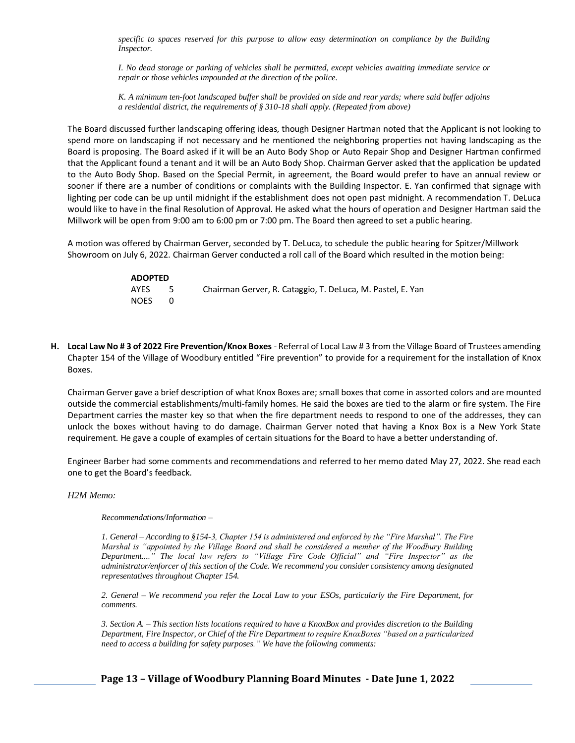*specific to spaces reserved for this purpose to allow easy determination on compliance by the Building Inspector.* 

*I. No dead storage or parking of vehicles shall be permitted, except vehicles awaiting immediate service or repair or those vehicles impounded at the direction of the police.* 

*K. A minimum ten-foot landscaped buffer shall be provided on side and rear yards; where said buffer adjoins a residential district, the requirements of § 310-18 shall apply. (Repeated from above)*

The Board discussed further landscaping offering ideas, though Designer Hartman noted that the Applicant is not looking to spend more on landscaping if not necessary and he mentioned the neighboring properties not having landscaping as the Board is proposing. The Board asked if it will be an Auto Body Shop or Auto Repair Shop and Designer Hartman confirmed that the Applicant found a tenant and it will be an Auto Body Shop. Chairman Gerver asked that the application be updated to the Auto Body Shop. Based on the Special Permit, in agreement, the Board would prefer to have an annual review or sooner if there are a number of conditions or complaints with the Building Inspector. E. Yan confirmed that signage with lighting per code can be up until midnight if the establishment does not open past midnight. A recommendation T. DeLuca would like to have in the final Resolution of Approval. He asked what the hours of operation and Designer Hartman said the Millwork will be open from 9:00 am to 6:00 pm or 7:00 pm. The Board then agreed to set a public hearing.

A motion was offered by Chairman Gerver, seconded by T. DeLuca, to schedule the public hearing for Spitzer/Millwork Showroom on July 6, 2022. Chairman Gerver conducted a roll call of the Board which resulted in the motion being:

| <b>ADOPTED</b> |      |                                                            |
|----------------|------|------------------------------------------------------------|
| AYES           | $-5$ | Chairman Gerver, R. Cataggio, T. DeLuca, M. Pastel, E. Yan |
| <b>NOES</b>    |      |                                                            |

**H. Local Law No # 3 of 2022 Fire Prevention/Knox Boxes** - Referral of Local Law # 3 from the Village Board of Trustees amending Chapter 154 of the Village of Woodbury entitled "Fire prevention" to provide for a requirement for the installation of Knox Boxes.

Chairman Gerver gave a brief description of what Knox Boxes are; small boxes that come in assorted colors and are mounted outside the commercial establishments/multi-family homes. He said the boxes are tied to the alarm or fire system. The Fire Department carries the master key so that when the fire department needs to respond to one of the addresses, they can unlock the boxes without having to do damage. Chairman Gerver noted that having a Knox Box is a New York State requirement. He gave a couple of examples of certain situations for the Board to have a better understanding of.

Engineer Barber had some comments and recommendations and referred to her memo dated May 27, 2022. She read each one to get the Board's feedback.

*H2M Memo:* 

*Recommendations/Information –*

*1. General – According to §154-3, Chapter 154 is administered and enforced by the "Fire Marshal". The Fire Marshal is "appointed by the Village Board and shall be considered a member of the Woodbury Building Department...." The local law refers to "Village Fire Code Official" and "Fire Inspector" as the administrator/enforcer of this section of the Code. We recommend you consider consistency among designated representatives throughout Chapter 154.* 

*2. General – We recommend you refer the Local Law to your ESOs, particularly the Fire Department, for comments.* 

*3. Section A. – This section lists locations required to have a KnoxBox and provides discretion to the Building Department, Fire Inspector, or Chief of the Fire Department to require KnoxBoxes "based on a particularized need to access a building for safety purposes." We have the following comments:* 

**Page 13 – Village of Woodbury Planning Board Minutes - Date June 1, 2022**